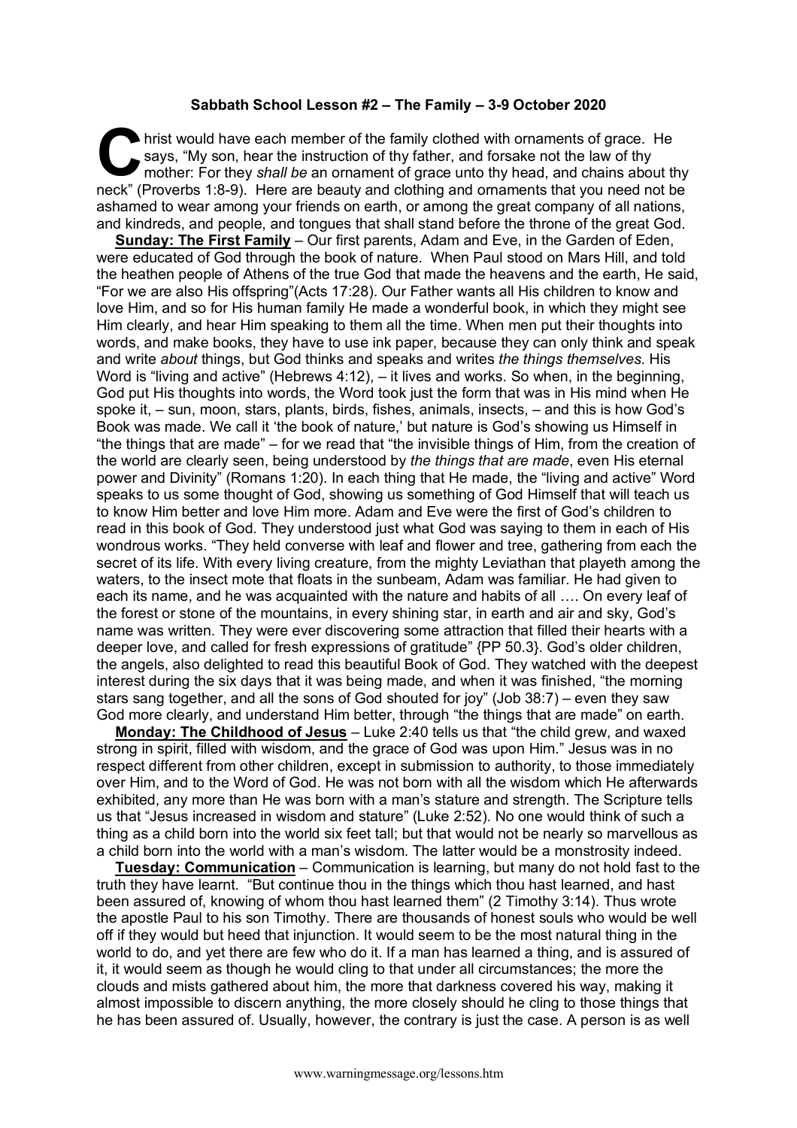## **Sabbath School Lesson #2 – The Family – 3-9 October 2020**

hrist would have each member of the family clothed with ornaments of grace. He says, "My son, hear the instruction of thy father, and forsake not the law of thy mother: For they *shall be* an ornament of grace unto thy head, and chains about thy neck" (Proverbs 1:8-9). Here are beauty and clothing and ornaments that you need not be ashamed to wear among your friends on earth, or among the great company of all nations, and kindreds, and people, and tongues that shall stand before the throne of the great God. C hris

**Sunday: The First Family** – Our first parents, Adam and Eve, in the Garden of Eden, were educated of God through the book of nature. When Paul stood on Mars Hill, and told the heathen people of Athens of the true God that made the heavens and the earth, He said, "For we are also His offspring"(Acts 17:28). Our Father wants all His children to know and love Him, and so for His human family He made a wonderful book, in which they might see Him clearly, and hear Him speaking to them all the time. When men put their thoughts into words, and make books, they have to use ink paper, because they can only think and speak and write *about* things, but God thinks and speaks and writes *the things themselves*. His Word is "living and active" (Hebrews 4:12), – it lives and works. So when, in the beginning, God put His thoughts into words, the Word took just the form that was in His mind when He spoke it, – sun, moon, stars, plants, birds, fishes, animals, insects, – and this is how God's Book was made. We call it 'the book of nature,' but nature is God's showing us Himself in "the things that are made" – for we read that "the invisible things of Him, from the creation of the world are clearly seen, being understood by *the things that are made*, even His eternal power and Divinity" (Romans 1:20). In each thing that He made, the "living and active" Word speaks to us some thought of God, showing us something of God Himself that will teach us to know Him better and love Him more. Adam and Eve were the first of God's children to read in this book of God. They understood just what God was saying to them in each of His wondrous works. "They held converse with leaf and flower and tree, gathering from each the secret of its life. With every living creature, from the mighty Leviathan that playeth among the waters, to the insect mote that floats in the sunbeam, Adam was familiar. He had given to each its name, and he was acquainted with the nature and habits of all …. On every leaf of the forest or stone of the mountains, in every shining star, in earth and air and sky, God's name was written. They were ever discovering some attraction that filled their hearts with a deeper love, and called for fresh expressions of gratitude" {PP 50.3}. God's older children, the angels, also delighted to read this beautiful Book of God. They watched with the deepest interest during the six days that it was being made, and when it was finished, "the morning stars sang together, and all the sons of God shouted for joy" (Job 38:7) – even they saw God more clearly, and understand Him better, through "the things that are made" on earth.

**Monday: The Childhood of Jesus** – Luke 2:40 tells us that "the child grew, and waxed strong in spirit, filled with wisdom, and the grace of God was upon Him." Jesus was in no respect different from other children, except in submission to authority, to those immediately over Him, and to the Word of God. He was not born with all the wisdom which He afterwards exhibited, any more than He was born with a man's stature and strength. The Scripture tells us that "Jesus increased in wisdom and stature" (Luke 2:52). No one would think of such a thing as a child born into the world six feet tall; but that would not be nearly so marvellous as a child born into the world with a man's wisdom. The latter would be a monstrosity indeed.

**Tuesday: Communication** – Communication is learning, but many do not hold fast to the truth they have learnt. "But continue thou in the things which thou hast learned, and hast been assured of, knowing of whom thou hast learned them" (2 Timothy 3:14). Thus wrote the apostle Paul to his son Timothy. There are thousands of honest souls who would be well off if they would but heed that injunction. It would seem to be the most natural thing in the world to do, and yet there are few who do it. If a man has learned a thing, and is assured of it, it would seem as though he would cling to that under all circumstances; the more the clouds and mists gathered about him, the more that darkness covered his way, making it almost impossible to discern anything, the more closely should he cling to those things that he has been assured of. Usually, however, the contrary is just the case. A person is as well